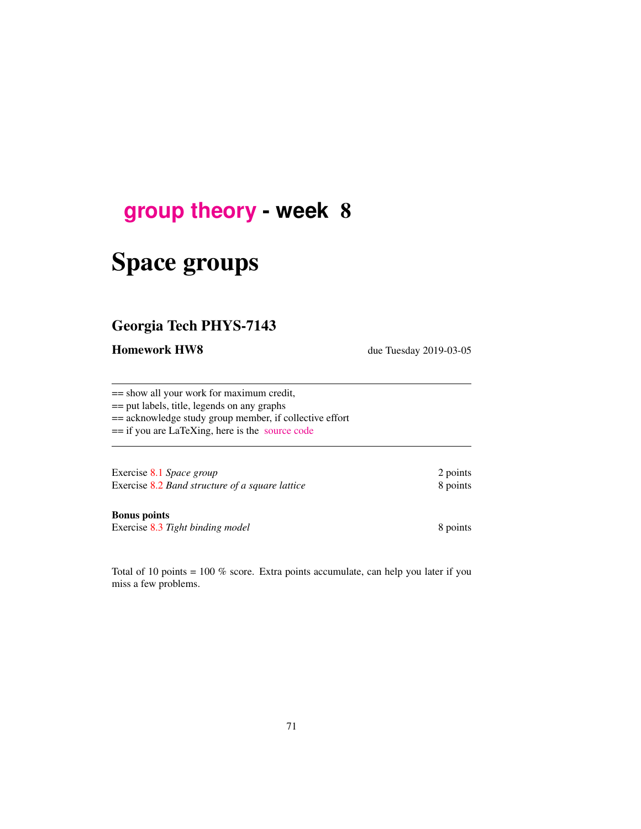## **[group theory](http://birdtracks.eu/courses/PHYS-7143-19/schedule.html) - week** 8

# Space groups

## Georgia Tech PHYS-7143

Homework HW8 due Tuesday 2019-03-05

== show all your work for maximum credit,

== put labels, title, legends on any graphs

== acknowledge study group member, if collective effort

== if you are LaTeXing, here is the [source code](http://birdtracks.eu/courses/PHYS-7143-19/exerWeek8.tex)

Exercise 8.1 *Space group* 2 points Exercise 8.2 *Band structure of a square lattice* 8 points

Bonus points

Exercise 8.3 Tight binding model 8 points

Total of 10 points = 100 % score. Extra points accumulate, can help you later if you miss a few problems.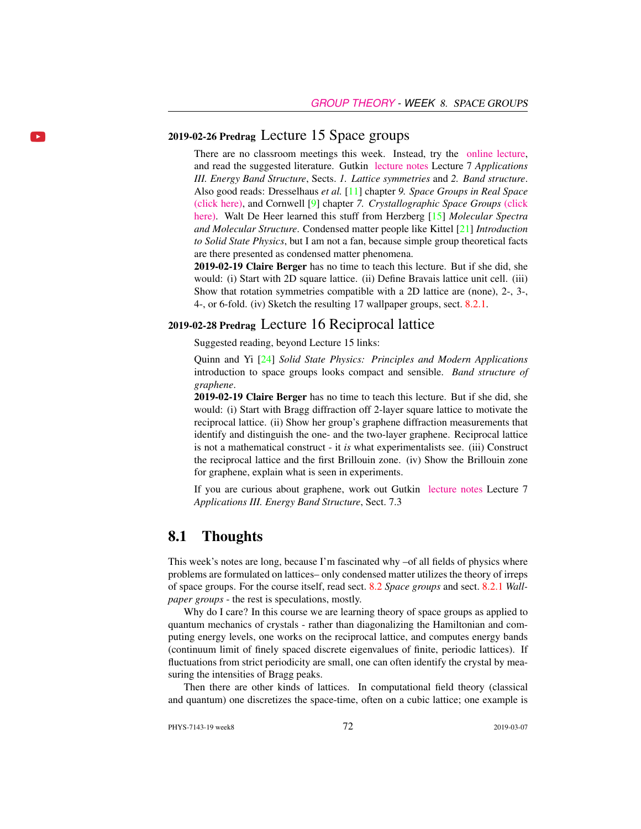## 2019-02-26 Predrag Lecture 15 Space groups

 $\mathbf{p}$ 

There are no classroom meetings this week. Instead, try the [online lecture,](https://youtube.com/embed/vejTDNdqXjU) and read the suggested literature. Gutkin [lecture notes](http://birdtracks.eu/courses/PHYS-7143-19/groups.pdf) Lecture 7 *Applications III. Energy Band Structure*, Sects. *1. Lattice symmetries* and *2. Band structure*. Also good reads: Dresselhaus *et al.* [11] chapter *9. Space Groups in Real Space* [\(click here\),](http://ChaosBook.org/library/Dresselhaus07.pdf) and Cornwell [9] chapter *7. Crystallographic Space Groups* [\(click](http://ChaosBook.org/library/Cornwell97chap7.pdf) [here\).](http://ChaosBook.org/library/Cornwell97chap7.pdf) Walt De Heer learned this stuff from Herzberg [15] *Molecular Spectra and Molecular Structure*. Condensed matter people like Kittel [21] *Introduction to Solid State Physics*, but I am not a fan, because simple group theoretical facts are there presented as condensed matter phenomena.

2019-02-19 Claire Berger has no time to teach this lecture. But if she did, she would: (i) Start with 2D square lattice. (ii) Define Bravais lattice unit cell. (iii) Show that rotation symmetries compatible with a 2D lattice are (none), 2-, 3-, 4-, or 6-fold. (iv) Sketch the resulting 17 wallpaper groups, sect. 8.2.1.

## 2019-02-28 Predrag Lecture 16 Reciprocal lattice

Suggested reading, beyond Lecture 15 links:

Quinn and Yi [24] *Solid State Physics: Principles and Modern Applications* introduction to space groups looks compact and sensible. *Band structure of graphene*.

2019-02-19 Claire Berger has no time to teach this lecture. But if she did, she would: (i) Start with Bragg diffraction off 2-layer square lattice to motivate the reciprocal lattice. (ii) Show her group's graphene diffraction measurements that identify and distinguish the one- and the two-layer graphene. Reciprocal lattice is not a mathematical construct - it *is* what experimentalists see. (iii) Construct the reciprocal lattice and the first Brillouin zone. (iv) Show the Brillouin zone for graphene, explain what is seen in experiments.

If you are curious about graphene, work out Gutkin [lecture notes](http://birdtracks.eu/courses/PHYS-7143-19/groups.pdf) Lecture 7 *Applications III. Energy Band Structure*, Sect. 7.3

## 8.1 Thoughts

This week's notes are long, because I'm fascinated why –of all fields of physics where problems are formulated on lattices– only condensed matter utilizes the theory of irreps of space groups. For the course itself, read sect. 8.2 *Space groups* and sect. 8.2.1 *Wallpaper groups* - the rest is speculations, mostly.

Why do I care? In this course we are learning theory of space groups as applied to quantum mechanics of crystals - rather than diagonalizing the Hamiltonian and computing energy levels, one works on the reciprocal lattice, and computes energy bands (continuum limit of finely spaced discrete eigenvalues of finite, periodic lattices). If fluctuations from strict periodicity are small, one can often identify the crystal by measuring the intensities of Bragg peaks.

Then there are other kinds of lattices. In computational field theory (classical and quantum) one discretizes the space-time, often on a cubic lattice; one example is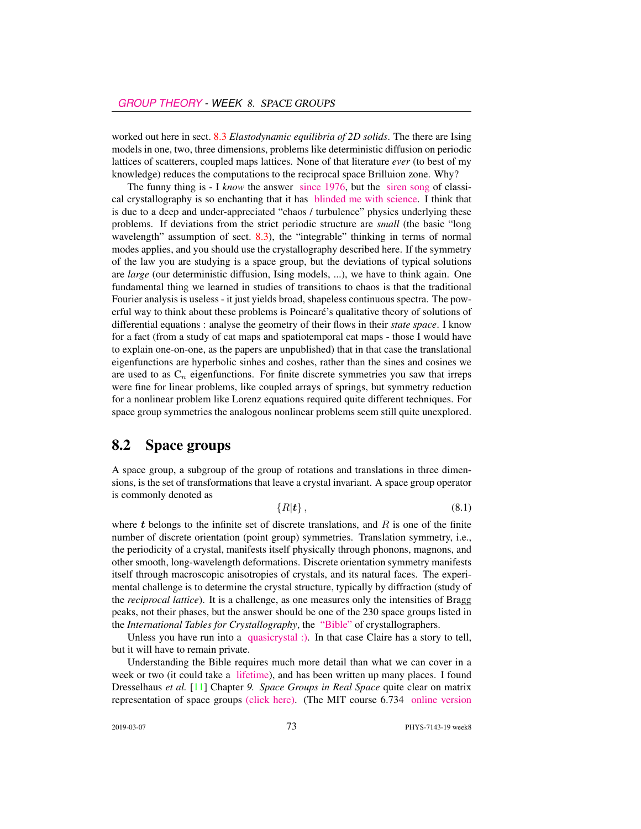worked out here in sect. 8.3 *Elastodynamic equilibria of 2D solids*. The there are Ising models in one, two, three dimensions, problems like deterministic diffusion on periodic lattices of scatterers, coupled maps lattices. None of that literature *ever* (to best of my knowledge) reduces the computations to the reciprocal space Brilluion zone. Why?

The funny thing is - I *know* the answer [since 1976,](http://chaosbook.org/~predrag/papers/universalFunct.html) but the [siren song](https://www.theguardian.com/science/2013/jan/06/dan-shechtman-nobel-prize-chemistry-interview) of classical crystallography is so enchanting that it has [blinded me with science.](https://www.youtube.com/watch?v=GllSfiwCEtY) I think that is due to a deep and under-appreciated "chaos / turbulence" physics underlying these problems. If deviations from the strict periodic structure are *small* (the basic "long wavelength" assumption of sect. 8.3), the "integrable" thinking in terms of normal modes applies, and you should use the crystallography described here. If the symmetry of the law you are studying is a space group, but the deviations of typical solutions are *large* (our deterministic diffusion, Ising models, ...), we have to think again. One fundamental thing we learned in studies of transitions to chaos is that the traditional Fourier analysis is useless - it just yields broad, shapeless continuous spectra. The powerful way to think about these problems is Poincaré's qualitative theory of solutions of differential equations : analyse the geometry of their flows in their *state space*. I know for a fact (from a study of cat maps and spatiotemporal cat maps - those I would have to explain one-on-one, as the papers are unpublished) that in that case the translational eigenfunctions are hyperbolic sinhes and coshes, rather than the sines and cosines we are used to as  $C_n$  eigenfunctions. For finite discrete symmetries you saw that irreps were fine for linear problems, like coupled arrays of springs, but symmetry reduction for a nonlinear problem like Lorenz equations required quite different techniques. For space group symmetries the analogous nonlinear problems seem still quite unexplored.

## 8.2 Space groups

A space group, a subgroup of the group of rotations and translations in three dimensions, is the set of transformations that leave a crystal invariant. A space group operator is commonly denoted as

$$
\{R|\boldsymbol{t}\},\tag{8.1}
$$

where  $t$  belongs to the infinite set of discrete translations, and  $R$  is one of the finite number of discrete orientation (point group) symmetries. Translation symmetry, i.e., the periodicity of a crystal, manifests itself physically through phonons, magnons, and other smooth, long-wavelength deformations. Discrete orientation symmetry manifests itself through macroscopic anisotropies of crystals, and its natural faces. The experimental challenge is to determine the crystal structure, typically by diffraction (study of the *reciprocal lattice*). It is a challenge, as one measures only the intensities of Bragg peaks, not their phases, but the answer should be one of the 230 space groups listed in the *International Tables for Crystallography*, the ["Bible"](http://it.iucr.org/) of crystallographers.

Unless you have run into a [quasicrystal :\).](https://www.nobelprize.org/nobel_prizes/chemistry/laureates/2011/press.html) In that case Claire has a story to tell, but it will have to remain private.

Understanding the Bible requires much more detail than what we can cover in a week or two (it could take a [lifetime\)](http://crystallography.euroscicon.com), and has been written up many places. I found Dresselhaus *et al.* [11] Chapter *9. Space Groups in Real Space* quite clear on matrix representation of space groups [\(click here\).](http://ChaosBook.org/library/Dresselhaus07.pdf) (The MIT course 6.734 [online version](http://stuff.mit.edu/afs/athena/course/6/6.734j/www/group-full02.pdf)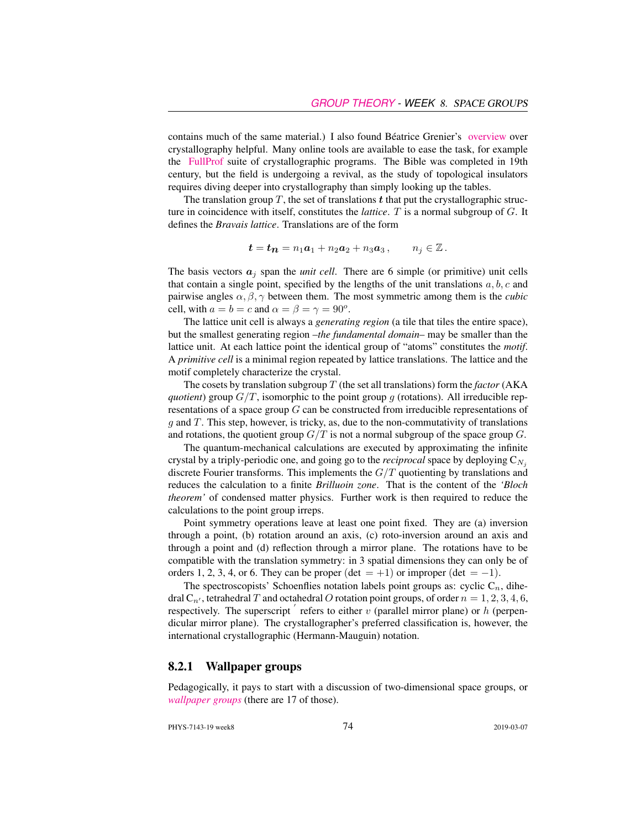contains much of the same material.) I also found Béatrice Grenier's [overview](https://www.ill.eu/fileadmin/users_files/documents/news_and_events/workshops_events/Group-Theory-School/uploads/5-GRENIER-Reminder_On_Crystallography.pdf) over crystallography helpful. Many online tools are available to ease the task, for example the [FullProf](https://www.ill.eu/sites/fullprof/index.html) suite of crystallographic programs. The Bible was completed in 19th century, but the field is undergoing a revival, as the study of topological insulators requires diving deeper into crystallography than simply looking up the tables.

The translation group T, the set of translations t that put the crystallographic structure in coincidence with itself, constitutes the *lattice*. T is a normal subgroup of G. It defines the *Bravais lattice*. Translations are of the form

$$
t = t_n = n_1 a_1 + n_2 a_2 + n_3 a_3, \qquad n_j \in \mathbb{Z}.
$$

The basis vectors  $a_j$  span the *unit cell*. There are 6 simple (or primitive) unit cells that contain a single point, specified by the lengths of the unit translations  $a, b, c$  and pairwise angles  $\alpha$ ,  $\beta$ ,  $\gamma$  between them. The most symmetric among them is the *cubic* cell, with  $a = b = c$  and  $\alpha = \beta = \gamma = 90^\circ$ .

The lattice unit cell is always a *generating region* (a tile that tiles the entire space), but the smallest generating region –*the fundamental domain*– may be smaller than the lattice unit. At each lattice point the identical group of "atoms" constitutes the *motif*. A *primitive cell* is a minimal region repeated by lattice translations. The lattice and the motif completely characterize the crystal.

The cosets by translation subgroup  $T$  (the set all translations) form the *factor* (AKA *quotient*) group  $G/T$ , isomorphic to the point group g (rotations). All irreducible representations of a space group G can be constructed from irreducible representations of  $q$  and T. This step, however, is tricky, as, due to the non-commutativity of translations and rotations, the quotient group  $G/T$  is not a normal subgroup of the space group  $G$ .

The quantum-mechanical calculations are executed by approximating the infinite crystal by a triply-periodic one, and going go to the *reciprocal* space by deploying  $C_{N_i}$ discrete Fourier transforms. This implements the  $G/T$  quotienting by translations and reduces the calculation to a finite *Brilluoin zone*. That is the content of the *'Bloch theorem'* of condensed matter physics. Further work is then required to reduce the calculations to the point group irreps.

Point symmetry operations leave at least one point fixed. They are (a) inversion through a point, (b) rotation around an axis, (c) roto-inversion around an axis and through a point and (d) reflection through a mirror plane. The rotations have to be compatible with the translation symmetry: in 3 spatial dimensions they can only be of orders 1, 2, 3, 4, or 6. They can be proper (det = +1) or improper (det = -1).

The spectroscopists' Schoenflies notation labels point groups as: cyclic  $C_n$ , dihedral  $C_{n'}$ , tetrahedral T and octahedral O rotation point groups, of order  $n = 1, 2, 3, 4, 6$ , respectively. The superscript  $\acute{i}$  refers to either  $\acute{v}$  (parallel mirror plane) or  $h$  (perpendicular mirror plane). The crystallographer's preferred classification is, however, the international crystallographic (Hermann-Mauguin) notation.

#### 8.2.1 Wallpaper groups

Pedagogically, it pays to start with a discussion of two-dimensional space groups, or *[wallpaper groups](https://en.wikipedia.org/wiki/Wallpaper_group)* (there are 17 of those).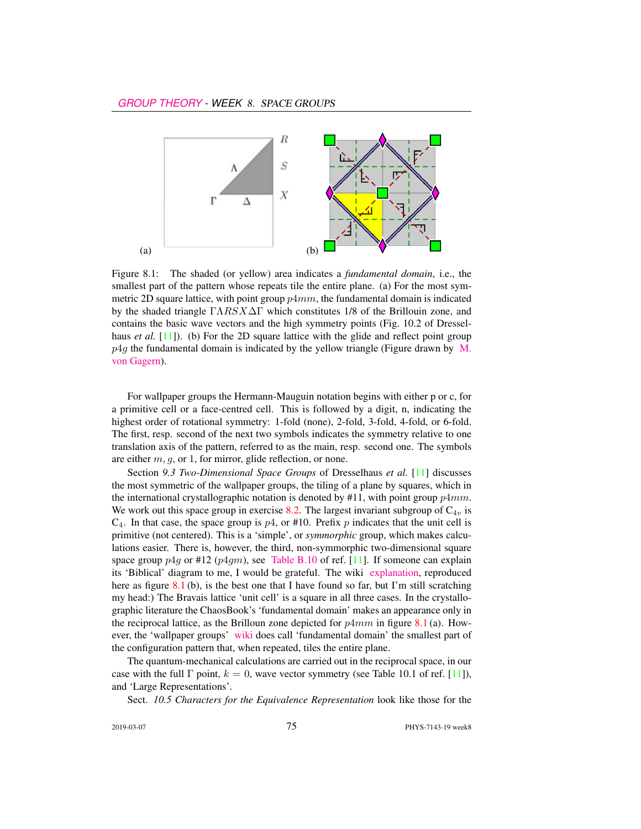

Figure 8.1: The shaded (or yellow) area indicates a *fundamental domain*, i.e., the smallest part of the pattern whose repeats tile the entire plane. (a) For the most symmetric 2D square lattice, with point group  $p4mm$ , the fundamental domain is indicated by the shaded triangle  $\Gamma \Lambda R S X \Delta \Gamma$  which constitutes 1/8 of the Brillouin zone, and contains the basic wave vectors and the high symmetry points (Fig. 10.2 of Dresselhaus *et al.* [11]). (b) For the 2D square lattice with the glide and reflect point group  $p4q$  the fundamental domain is indicated by the yellow triangle (Figure drawn by [M.](https://en.wikipedia.org/wiki/Wallpaper_group#Group_p4g_.284.2A2.29) [von Gagern\)](https://en.wikipedia.org/wiki/Wallpaper_group#Group_p4g_.284.2A2.29).

For wallpaper groups the Hermann-Mauguin notation begins with either p or c, for a primitive cell or a face-centred cell. This is followed by a digit, n, indicating the highest order of rotational symmetry: 1-fold (none), 2-fold, 3-fold, 4-fold, or 6-fold. The first, resp. second of the next two symbols indicates the symmetry relative to one translation axis of the pattern, referred to as the main, resp. second one. The symbols are either  $m, g$ , or 1, for mirror, glide reflection, or none.

Section *9.3 Two-Dimensional Space Groups* of Dresselhaus *et al.* [11] discusses the most symmetric of the wallpaper groups, the tiling of a plane by squares, which in the international crystallographic notation is denoted by  $#11$ , with point group  $p4mm$ . We work out this space group in exercise 8.2. The largest invariant subgroup of  $C_{4v}$  is  $C_4$ . In that case, the space group is  $p4$ , or #10. Prefix p indicates that the unit cell is primitive (not centered). This is a 'simple', or *symmorphic* group, which makes calculations easier. There is, however, the third, non-symmorphic two-dimensional square space group  $p4q$  or #12 ( $p4qm$ ), see [Table B.10](http://birdtracks.eu/courses/PHYS-7143-19/Dresselhaus07tabB12.pdf) of ref. [11]. If someone can explain its 'Biblical' diagram to me, I would be grateful. The wiki [explanation,](https://en.wikipedia.org/wiki/Wallpaper_group#Group_p4g_.284.2A2.29) reproduced here as figure  $8.1$  (b), is the best one that I have found so far, but I'm still scratching my head:) The Bravais lattice 'unit cell' is a square in all three cases. In the crystallographic literature the ChaosBook's 'fundamental domain' makes an appearance only in the reciprocal lattice, as the Brilloun zone depicted for  $p4mm$  in figure 8.1 (a). However, the 'wallpaper groups' [wiki](https://en.wikipedia.org/wiki/Wallpaper_group) does call 'fundamental domain' the smallest part of the configuration pattern that, when repeated, tiles the entire plane.

The quantum-mechanical calculations are carried out in the reciprocal space, in our case with the full  $\Gamma$  point,  $k = 0$ , wave vector symmetry (see Table 10.1 of ref. [11]), and 'Large Representations'.

Sect. *10.5 Characters for the Equivalence Representation* look like those for the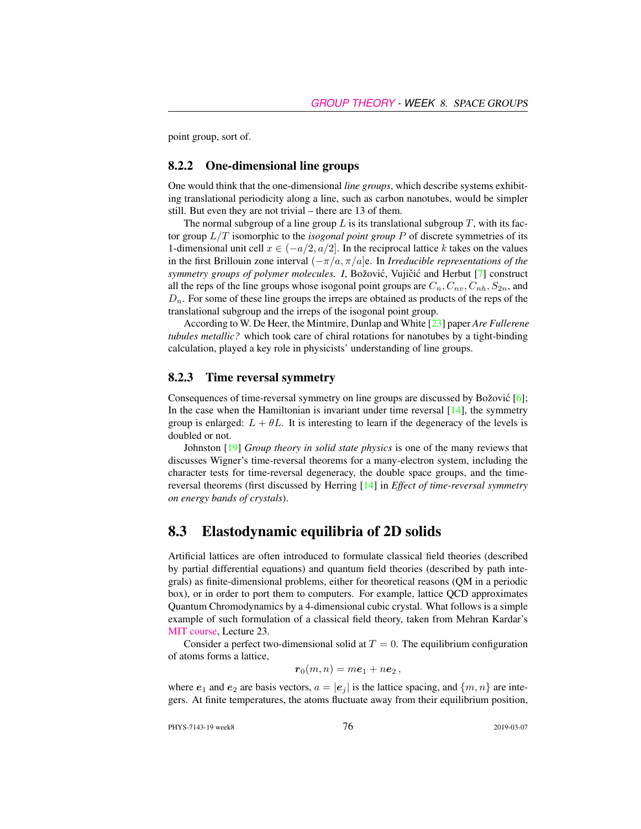point group, sort of.

#### 8.2.2 One-dimensional line groups

One would think that the one-dimensional *line groups*, which describe systems exhibiting translational periodicity along a line, such as carbon nanotubes, would be simpler still. But even they are not trivial – there are 13 of them.

The normal subgroup of a line group  $L$  is its translational subgroup  $T$ , with its factor group L/T isomorphic to the *isogonal point group* P of discrete symmetries of its 1-dimensional unit cell  $x \in (-a/2, a/2]$ . In the reciprocal lattice k takes on the values in the first Brillouin zone interval (−π/a, π/a]e. In *Irreducible representations of the symmetry groups of polymer molecules. I, Božović, Vujičić and Herbut [7] construct* all the reps of the line groups whose isogonal point groups are  $C_n, C_n, C_n, S_{2n}$ , and  $D_n$ . For some of these line groups the irreps are obtained as products of the reps of the translational subgroup and the irreps of the isogonal point group.

According to W. De Heer, the Mintmire, Dunlap and White [23] paper *Are Fullerene tubules metallic?* which took care of chiral rotations for nanotubes by a tight-binding calculation, played a key role in physicists' understanding of line groups.

#### 8.2.3 Time reversal symmetry

Consequences of time-reversal symmetry on line groups are discussed by Božović  $[6]$ ; In the case when the Hamiltonian is invariant under time reversal  $[14]$ , the symmetry group is enlarged:  $L + \theta L$ . It is interesting to learn if the degeneracy of the levels is doubled or not.

Johnston [19] *Group theory in solid state physics* is one of the many reviews that discusses Wigner's time-reversal theorems for a many-electron system, including the character tests for time-reversal degeneracy, the double space groups, and the timereversal theorems (first discussed by Herring [14] in *Effect of time-reversal symmetry on energy bands of crystals*).

## 8.3 Elastodynamic equilibria of 2D solids

Artificial lattices are often introduced to formulate classical field theories (described by partial differential equations) and quantum field theories (described by path integrals) as finite-dimensional problems, either for theoretical reasons (QM in a periodic box), or in order to port them to computers. For example, lattice QCD approximates Quantum Chromodynamics by a 4-dimensional cubic crystal. What follows is a simple example of such formulation of a classical field theory, taken from Mehran Kardar's [MIT course,](https://ocw.mit.edu/courses/physics/8-334-statistical-mechanics-ii-statistical-physics-of-fields-spring-2014/) Lecture 23.

Consider a perfect two-dimensional solid at  $T = 0$ . The equilibrium configuration of atoms forms a lattice,

$$
\boldsymbol{r}_0(m,n)=m\boldsymbol{e}_1+n\boldsymbol{e}_2\,,
$$

where  $e_1$  and  $e_2$  are basis vectors,  $a = |e_i|$  is the lattice spacing, and  $\{m, n\}$  are integers. At finite temperatures, the atoms fluctuate away from their equilibrium position,

PHYS-7143-19 week8 2019-03-07 2019-03-07 2019-03-07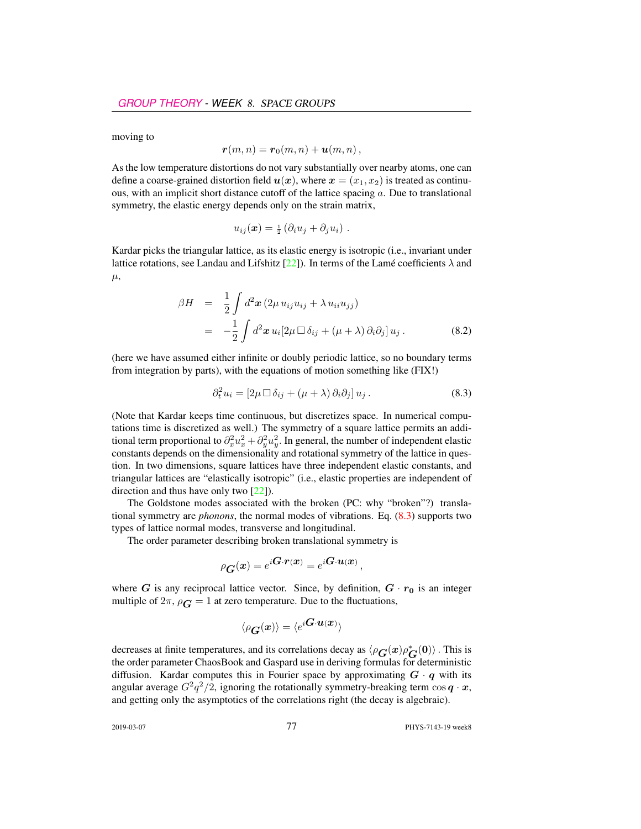moving to

$$
\boldsymbol{r}(m,n)=\boldsymbol{r}_0(m,n)+\boldsymbol{u}(m,n)\,,
$$

As the low temperature distortions do not vary substantially over nearby atoms, one can define a coarse-grained distortion field  $u(x)$ , where  $x = (x_1, x_2)$  is treated as continuous, with an implicit short distance cutoff of the lattice spacing  $a$ . Due to translational symmetry, the elastic energy depends only on the strain matrix,

$$
u_{ij}(\boldsymbol{x}) = \frac{1}{2} \left( \partial_i u_j + \partial_j u_i \right) .
$$

Kardar picks the triangular lattice, as its elastic energy is isotropic (i.e., invariant under lattice rotations, see Landau and Lifshitz [22]). In terms of the Lamé coefficients  $\lambda$  and  $\mu$ ,

$$
\beta H = \frac{1}{2} \int d^2 \mathbf{x} (2\mu u_{ij} u_{ij} + \lambda u_{ii} u_{jj})
$$
  
= 
$$
-\frac{1}{2} \int d^2 \mathbf{x} u_i [2\mu \Box \delta_{ij} + (\mu + \lambda) \partial_i \partial_j] u_j.
$$
 (8.2)

(here we have assumed either infinite or doubly periodic lattice, so no boundary terms from integration by parts), with the equations of motion something like (FIX!)

$$
\partial_t^2 u_i = [2\mu \Box \delta_{ij} + (\mu + \lambda) \partial_i \partial_j] u_j. \tag{8.3}
$$

(Note that Kardar keeps time continuous, but discretizes space. In numerical computations time is discretized as well.) The symmetry of a square lattice permits an additional term proportional to  $\partial_x^2 u_x^2 + \partial_y^2 u_y^2$ . In general, the number of independent elastic constants depends on the dimensionality and rotational symmetry of the lattice in question. In two dimensions, square lattices have three independent elastic constants, and triangular lattices are "elastically isotropic" (i.e., elastic properties are independent of direction and thus have only two [22]).

The Goldstone modes associated with the broken (PC: why "broken"?) translational symmetry are *phonons*, the normal modes of vibrations. Eq. (8.3) supports two types of lattice normal modes, transverse and longitudinal.

The order parameter describing broken translational symmetry is

$$
\rho_{\boldsymbol{G}}(\boldsymbol{x}) = e^{i\boldsymbol{G}\cdot\boldsymbol{r}(\boldsymbol{x})} = e^{i\boldsymbol{G}\cdot\boldsymbol{u}(\boldsymbol{x})},
$$

where G is any reciprocal lattice vector. Since, by definition,  $G \cdot r_0$  is an integer multiple of  $2\pi$ ,  $\rho_{\mathbf{G}} = 1$  at zero temperature. Due to the fluctuations,

$$
\langle \rho_{\bm{G}}(\bm{x}) \rangle = \langle e^{i\bm{G}\cdot\bm{u}(\bm{x})} \rangle
$$

decreases at finite temperatures, and its correlations decay as  $\langle \rho_{\boldsymbol{G}}(\boldsymbol{x}) \rho_{\boldsymbol{G}}^*(0) \rangle$ . This is the order parameter ChaosBook and Gaspard use in deriving formulas for deterministic diffusion. Kardar computes this in Fourier space by approximating  $G \cdot q$  with its angular average  $G^2q^2/2$ , ignoring the rotationally symmetry-breaking term  $\cos q \cdot x$ , and getting only the asymptotics of the correlations right (the decay is algebraic).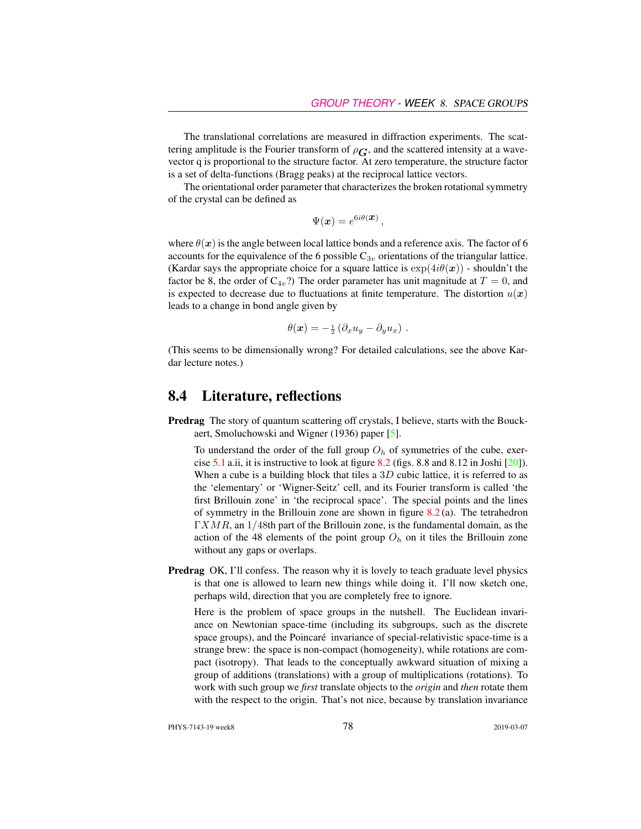The translational correlations are measured in diffraction experiments. The scattering amplitude is the Fourier transform of  $\rho_{\mathbf{G}}$ , and the scattered intensity at a wavevector q is proportional to the structure factor. At zero temperature, the structure factor is a set of delta-functions (Bragg peaks) at the reciprocal lattice vectors.

The orientational order parameter that characterizes the broken rotational symmetry of the crystal can be defined as

$$
\Psi(\boldsymbol{x}) = e^{6i\theta(\boldsymbol{x})},
$$

where  $\theta(x)$  is the angle between local lattice bonds and a reference axis. The factor of 6 accounts for the equivalence of the 6 possible  $C_{3v}$  orientations of the triangular lattice. (Kardar says the appropriate choice for a square lattice is  $\exp(4i\theta(\boldsymbol{x}))$  - shouldn't the factor be 8, the order of  $C_{4v}$ ?) The order parameter has unit magnitude at  $T = 0$ , and is expected to decrease due to fluctuations at finite temperature. The distortion  $u(x)$ leads to a change in bond angle given by

$$
\theta(\boldsymbol{x}) = -\frac{1}{2} \left( \partial_x u_y - \partial_y u_x \right) .
$$

(This seems to be dimensionally wrong? For detailed calculations, see the above Kardar lecture notes.)

## 8.4 Literature, reflections

Predrag The story of quantum scattering off crystals, I believe, starts with the Bouckaert, Smoluchowski and Wigner (1936) paper [5].

To understand the order of the full group  $O<sub>h</sub>$  of symmetries of the cube, exercise 5.1 a.ii, it is instructive to look at figure  $8.2$  (figs. 8.8 and  $8.12$  in Joshi  $[20]$ ). When a cube is a building block that tiles a  $3D$  cubic lattice, it is referred to as the 'elementary' or 'Wigner-Seitz' cell, and its Fourier transform is called 'the first Brillouin zone' in 'the reciprocal space'. The special points and the lines of symmetry in the Brillouin zone are shown in figure  $8.2$  (a). The tetrahedron  $\Gamma XMR$ , an  $1/48$ th part of the Brillouin zone, is the fundamental domain, as the action of the 48 elements of the point group  $O<sub>h</sub>$  on it tiles the Brillouin zone without any gaps or overlaps.

Predrag OK, I'll confess. The reason why it is lovely to teach graduate level physics is that one is allowed to learn new things while doing it. I'll now sketch one, perhaps wild, direction that you are completely free to ignore.

Here is the problem of space groups in the nutshell. The Euclidean invariance on Newtonian space-time (including its subgroups, such as the discrete space groups), and the Poincaré invariance of special-relativistic space-time is a strange brew: the space is non-compact (homogeneity), while rotations are compact (isotropy). That leads to the conceptually awkward situation of mixing a group of additions (translations) with a group of multiplications (rotations). To work with such group we *first* translate objects to the *origin* and *then* rotate them with the respect to the origin. That's not nice, because by translation invariance

PHYS-7143-19 week8 2019-03-07 2019-03-07 2019-03-07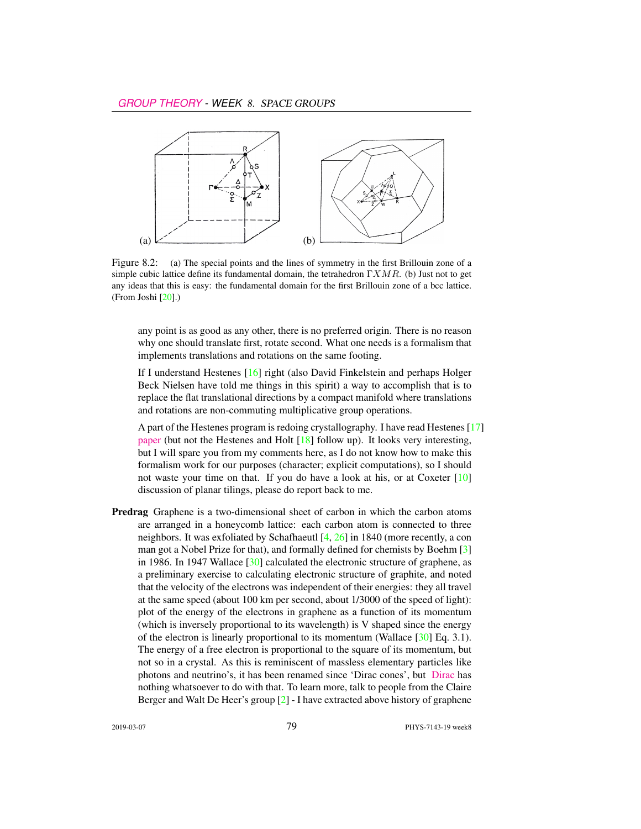

Figure 8.2: (a) The special points and the lines of symmetry in the first Brillouin zone of a simple cubic lattice define its fundamental domain, the tetrahedron  $\Gamma XMR$ . (b) Just not to get any ideas that this is easy: the fundamental domain for the first Brillouin zone of a bcc lattice. (From Joshi [20].)

any point is as good as any other, there is no preferred origin. There is no reason why one should translate first, rotate second. What one needs is a formalism that implements translations and rotations on the same footing.

If I understand Hestenes [16] right (also David Finkelstein and perhaps Holger Beck Nielsen have told me things in this spirit) a way to accomplish that is to replace the flat translational directions by a compact manifold where translations and rotations are non-commuting multiplicative group operations.

A part of the Hestenes program is redoing crystallography. I have read Hestenes [17] [paper](http://geocalc.clas.asu.edu/pdf/crystalsymmetry.pdf) (but not the Hestenes and Holt [18] follow up). It looks very interesting, but I will spare you from my comments here, as I do not know how to make this formalism work for our purposes (character; explicit computations), so I should not waste your time on that. If you do have a look at his, or at Coxeter [10] discussion of planar tilings, please do report back to me.

Predrag Graphene is a two-dimensional sheet of carbon in which the carbon atoms are arranged in a honeycomb lattice: each carbon atom is connected to three neighbors. It was exfoliated by Schafhaeutl  $[4, 26]$  in 1840 (more recently, a con man got a Nobel Prize for that), and formally defined for chemists by Boehm [3] in 1986. In 1947 Wallace [30] calculated the electronic structure of graphene, as a preliminary exercise to calculating electronic structure of graphite, and noted that the velocity of the electrons was independent of their energies: they all travel at the same speed (about 100 km per second, about 1/3000 of the speed of light): plot of the energy of the electrons in graphene as a function of its momentum (which is inversely proportional to its wavelength) is V shaped since the energy of the electron is linearly proportional to its momentum (Wallace [30] Eq. 3.1). The energy of a free electron is proportional to the square of its momentum, but not so in a crystal. As this is reminiscent of massless elementary particles like photons and neutrino's, it has been renamed since 'Dirac cones', but [Dirac](https://youtu.be/Et8-gg6XNDY) has nothing whatsoever to do with that. To learn more, talk to people from the Claire Berger and Walt De Heer's group [2] - I have extracted above history of graphene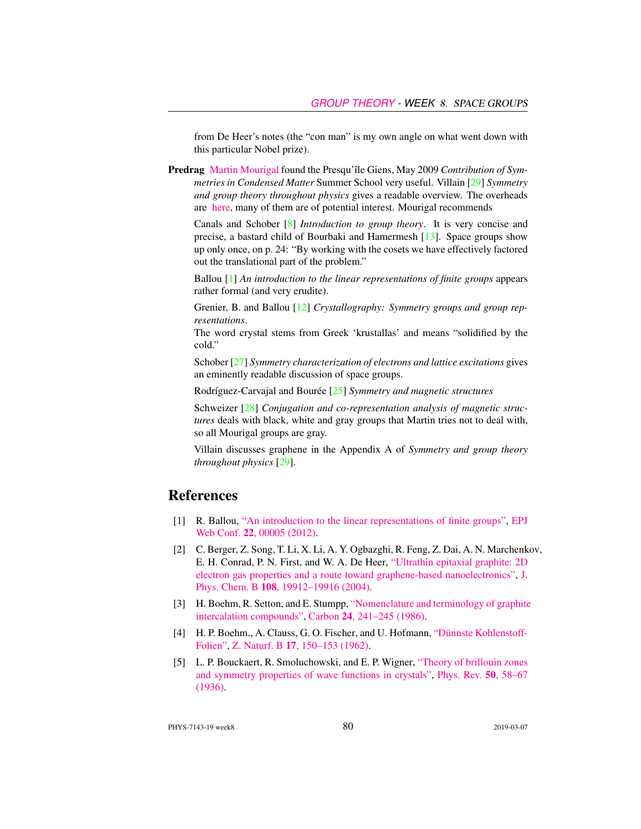from De Heer's notes (the "con man" is my own angle on what went down with this particular Nobel prize).

Predrag [Martin Mourigal](http://mourigal.gatech.edu/) found the Presqu'île Giens, May 2009 *Contribution of Symmetries in Condensed Matter* Summer School very useful. Villain [29] *Symmetry and group theory throughout physics* gives a readable overview. The overheads are [here,](https://www.ill.eu/press-and-news/past-events/2009/ecole-theorie-des-groupes/transparents-cours-td-tp) many of them are of potential interest. Mourigal recommends

Canals and Schober [8] *Introduction to group theory*. It is very concise and precise, a bastard child of Bourbaki and Hamermesh [13]. Space groups show up only once, on p. 24: "By working with the cosets we have effectively factored out the translational part of the problem."

Ballou [1] *An introduction to the linear representations of finite groups* appears rather formal (and very erudite).

Grenier, B. and Ballou [12] *Crystallography: Symmetry groups and group representations*.

The word crystal stems from Greek 'krustallas' and means "solidified by the cold."

Schober [27] *Symmetry characterization of electrons and lattice excitations* gives an eminently readable discussion of space groups.

Rodríguez-Carvajal and Bourée [25] *Symmetry and magnetic structures*

Schweizer [28] *Conjugation and co-representation analysis of magnetic structures* deals with black, white and gray groups that Martin tries not to deal with, so all Mourigal groups are gray.

Villain discusses graphene in the Appendix A of *Symmetry and group theory throughout physics* [29].

## References

- [1] R. Ballou, ["An introduction to the linear representations of finite groups",](http://dx.doi.org/10.1051/epjconf/20122200005) [EPJ](https://doi.org/10.1051/epjconf/20122200005) Web Conf. 22[, 00005 \(2012\).](https://doi.org/10.1051/epjconf/20122200005)
- [2] C. Berger, Z. Song, T. Li, X. Li, A. Y. Ogbazghi, R. Feng, Z. Dai, A. N. Marchenkov, E. H. Conrad, P. N. First, and W. A. De Heer, ["Ultrathin epitaxial graphite: 2D](http://dx.doi.org/10.1021/jp040650f) [electron gas properties and a route toward graphene-based nanoelectronics",](http://dx.doi.org/10.1021/jp040650f) [J.](https://doi.org/10.1021/jp040650f) Phys. Chem. B 108[, 19912–19916 \(2004\).](https://doi.org/10.1021/jp040650f)
- [3] H. Boehm, R. Setton, and E. Stumpp, ["Nomenclature and terminology of graphite](http://dx.doi.org/10.1016/0008-6223(86)90126-0) [intercalation compounds",](http://dx.doi.org/10.1016/0008-6223(86)90126-0) Carbon 24[, 241–245 \(1986\).](https://doi.org/10.1016/0008-6223(86)90126-0)
- [4] H. P. Boehm., A. Clauss, G. O. Fischer, and U. Hofmann, ["Dünnste Kohlenstoff-](http://dx.doi.org/10.1515/znb-1962-0302)[Folien",](http://dx.doi.org/10.1515/znb-1962-0302) Z. Naturf. B 17[, 150–153 \(1962\).](https://doi.org/10.1515/znb-1962-0302)
- [5] L. P. Bouckaert, R. Smoluchowski, and E. P. Wigner, ["Theory of brillouin zones](http://dx.doi.org/10.1103/PhysRev.50.58) [and symmetry properties of wave functions in crystals",](http://dx.doi.org/10.1103/PhysRev.50.58) [Phys. Rev.](https://doi.org/10.1103/PhysRev.50.58) 50, 58–67 [\(1936\).](https://doi.org/10.1103/PhysRev.50.58)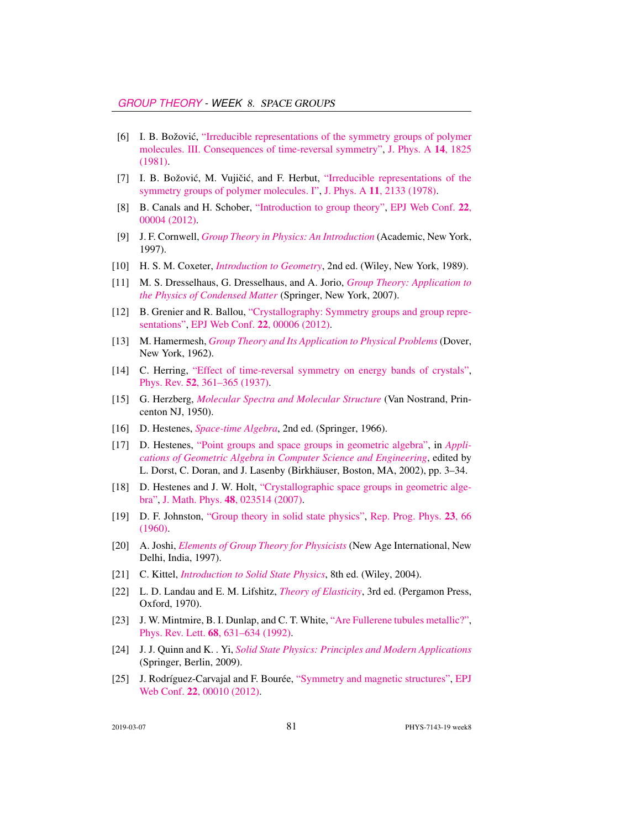- [6] I. B. Božović, ["Irreducible representations of the symmetry groups of polymer](http://dx.doi.org/10.1088/0305-4470/14/8/010) [molecules. III. Consequences of time-reversal symmetry",](http://dx.doi.org/10.1088/0305-4470/14/8/010) [J. Phys. A](https://doi.org/10.1088/0305-4470/14/8/010) 14, 1825 [\(1981\).](https://doi.org/10.1088/0305-4470/14/8/010)
- [7] I. B. Božović, M. Vujičić, and F. Herbut, ["Irreducible representations of the](http://dx.doi.org/10.1088/0305-4470/11/11/003) [symmetry groups of polymer molecules. I",](http://dx.doi.org/10.1088/0305-4470/11/11/003) J. Phys. A 11[, 2133 \(1978\).](https://doi.org/10.1088/0305-4470/11/11/003)
- [8] B. Canals and H. Schober, ["Introduction to group theory",](http://dx.doi.org/10.1051/epjconf/20122200004) [EPJ Web Conf.](https://doi.org/10.1051/epjconf/20122200004) 22, [00004 \(2012\).](https://doi.org/10.1051/epjconf/20122200004)
- [9] J. F. Cornwell, *[Group Theory in Physics: An Introduction](http://books.google.com/books?vid=ISBN9780121898007)* (Academic, New York, 1997).
- [10] H. S. M. Coxeter, *[Introduction to Geometry](http://books.google.com/books?vid=ISBN978-0-471-50458-0)*, 2nd ed. (Wiley, New York, 1989).
- [11] M. S. Dresselhaus, G. Dresselhaus, and A. Jorio, *[Group Theory: Application to](http://dx.doi.org/10.1007/978-3-540-32899-5) [the Physics of Condensed Matter](http://dx.doi.org/10.1007/978-3-540-32899-5)* (Springer, New York, 2007).
- [12] B. Grenier and R. Ballou, ["Crystallography: Symmetry groups and group repre](http://dx.doi.org/10.1051/epjconf/20122200006)[sentations",](http://dx.doi.org/10.1051/epjconf/20122200006) [EPJ Web Conf.](https://doi.org/10.1051/epjconf/20122200006) 22, 00006 (2012).
- [13] M. Hamermesh, *[Group Theory and Its Application to Physical Problems](http://dx.doi.org/10.1119/1.1941790)* (Dover, New York, 1962).
- [14] C. Herring, ["Effect of time-reversal symmetry on energy bands of crystals",](http://dx.doi.org/10.1103/PhysRev.52.361) Phys. Rev. 52[, 361–365 \(1937\).](https://doi.org/10.1103/PhysRev.52.361)
- [15] G. Herzberg, *[Molecular Spectra and Molecular Structure](https://archive.org/details/molecularspectra032774mbp)* (Van Nostrand, Princenton NJ, 1950).
- [16] D. Hestenes, *[Space-time Algebra](http://dx.doi.org/10.1007/978-3-319-18413-5)*, 2nd ed. (Springer, 1966).
- [17] D. Hestenes, ["Point groups and space groups in geometric algebra",](http://dx.doi.org/10.1007/978-1-4612-0089-5_1) in *[Appli](https://doi.org/10.1007/978-1-4612-0089-5_1)[cations of Geometric Algebra in Computer Science and Engineering](https://doi.org/10.1007/978-1-4612-0089-5_1)*, edited by L. Dorst, C. Doran, and J. Lasenby (Birkhäuser, Boston, MA, 2002), pp. 3–34.
- [18] D. Hestenes and J. W. Holt, ["Crystallographic space groups in geometric alge](http://dx.doi.org/10.1063/1.2426416)[bra",](http://dx.doi.org/10.1063/1.2426416) J. Math. Phys. 48[, 023514 \(2007\).](https://doi.org/10.1063/1.2426416)
- [19] D. F. Johnston, ["Group theory in solid state physics",](http://dx.doi.org/10.1088/0034-4885/23/1/302) [Rep. Prog. Phys.](https://doi.org/10.1088/0034-4885/23/1/302) 23, 66 [\(1960\).](https://doi.org/10.1088/0034-4885/23/1/302)
- [20] A. Joshi, *[Elements of Group Theory for Physicists](http://books.google.com/books?vid=ISBN9788122409758)* (New Age International, New Delhi, India, 1997).
- [21] C. Kittel, *[Introduction to Solid State Physics](http://dx.doi.org/10.1063/1.3060399)*, 8th ed. (Wiley, 2004).
- [22] L. D. Landau and E. M. Lifshitz, *[Theory of Elasticity](https://archive.org/details/TheoryOfElasticity)*, 3rd ed. (Pergamon Press, Oxford, 1970).
- [23] J. W. Mintmire, B. I. Dunlap, and C. T. White, ["Are Fullerene tubules metallic?",](http://dx.doi.org/10.1103/physrevlett.68.631) Phys. Rev. Lett. 68[, 631–634 \(1992\).](https://doi.org/10.1103/physrevlett.68.631)
- [24] J. J. Quinn and K. . Yi, *[Solid State Physics: Principles and Modern Applications](http://dx.doi.org/10.1007/978-3-540-92231-5)* (Springer, Berlin, 2009).
- [25] J. Rodríguez-Carvajal and F. Bourée, ["Symmetry and magnetic structures",](http://dx.doi.org/10.1051/epjconf/20122200010) [EPJ](https://doi.org/10.1051/epjconf/20122200010) Web Conf. 22[, 00010 \(2012\).](https://doi.org/10.1051/epjconf/20122200010)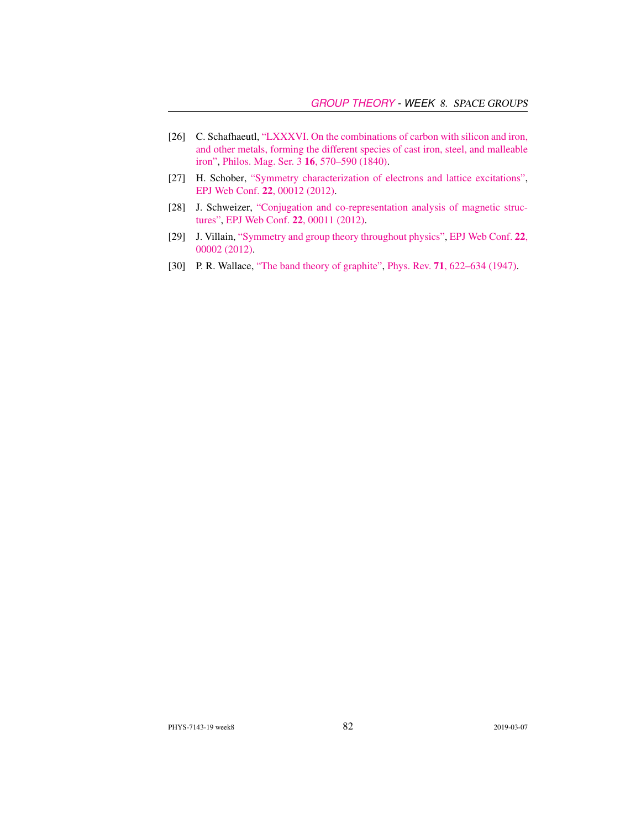- [26] C. Schafhaeutl, ["LXXXVI. On the combinations of carbon with silicon and iron,](http://dx.doi.org/10.1080/14786444008650094) [and other metals, forming the different species of cast iron, steel, and malleable](http://dx.doi.org/10.1080/14786444008650094) [iron",](http://dx.doi.org/10.1080/14786444008650094) [Philos. Mag. Ser. 3](https://doi.org/10.1080/14786444008650094) 16, 570–590 (1840).
- [27] H. Schober, ["Symmetry characterization of electrons and lattice excitations",](http://dx.doi.org/10.1051/epjconf/20122200012) [EPJ Web Conf.](https://doi.org/10.1051/epjconf/20122200012) 22, 00012 (2012).
- [28] J. Schweizer, ["Conjugation and co-representation analysis of magnetic struc](http://dx.doi.org/10.1051/epjconf/20122200011)[tures",](http://dx.doi.org/10.1051/epjconf/20122200011) [EPJ Web Conf.](https://doi.org/10.1051/epjconf/20122200011) 22, 00011 (2012).
- [29] J. Villain, ["Symmetry and group theory throughout physics",](http://dx.doi.org/10.1051/epjconf/20122200002) [EPJ Web Conf.](https://doi.org/10.1051/epjconf/20122200002) 22, [00002 \(2012\).](https://doi.org/10.1051/epjconf/20122200002)
- [30] P. R. Wallace, ["The band theory of graphite",](http://dx.doi.org/10.1103/PhysRev.71.622) Phys. Rev. 71[, 622–634 \(1947\).](https://doi.org/10.1103/PhysRev.71.622)